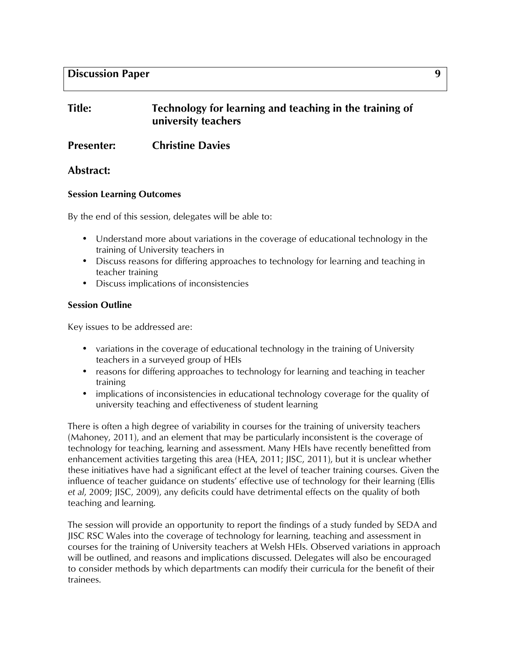# **Title: Technology for learning and teaching in the training of university teachers**

**Presenter: Christine Davies** 

## **Abstract:**

#### **Session Learning Outcomes**

By the end of this session, delegates will be able to:

- Understand more about variations in the coverage of educational technology in the training of University teachers in
- Discuss reasons for differing approaches to technology for learning and teaching in teacher training
- Discuss implications of inconsistencies

## **Session Outline**

Key issues to be addressed are:

- variations in the coverage of educational technology in the training of University teachers in a surveyed group of HEIs
- reasons for differing approaches to technology for learning and teaching in teacher training
- implications of inconsistencies in educational technology coverage for the quality of university teaching and effectiveness of student learning

There is often a high degree of variability in courses for the training of university teachers (Mahoney, 2011), and an element that may be particularly inconsistent is the coverage of technology for teaching, learning and assessment. Many HEIs have recently benefitted from enhancement activities targeting this area (HEA, 2011; JISC, 2011), but it is unclear whether these initiatives have had a significant effect at the level of teacher training courses. Given the influence of teacher guidance on students' effective use of technology for their learning (Ellis *et al*, 2009; JISC, 2009), any deficits could have detrimental effects on the quality of both teaching and learning.

The session will provide an opportunity to report the findings of a study funded by SEDA and JISC RSC Wales into the coverage of technology for learning, teaching and assessment in courses for the training of University teachers at Welsh HEIs. Observed variations in approach will be outlined, and reasons and implications discussed. Delegates will also be encouraged to consider methods by which departments can modify their curricula for the benefit of their trainees.